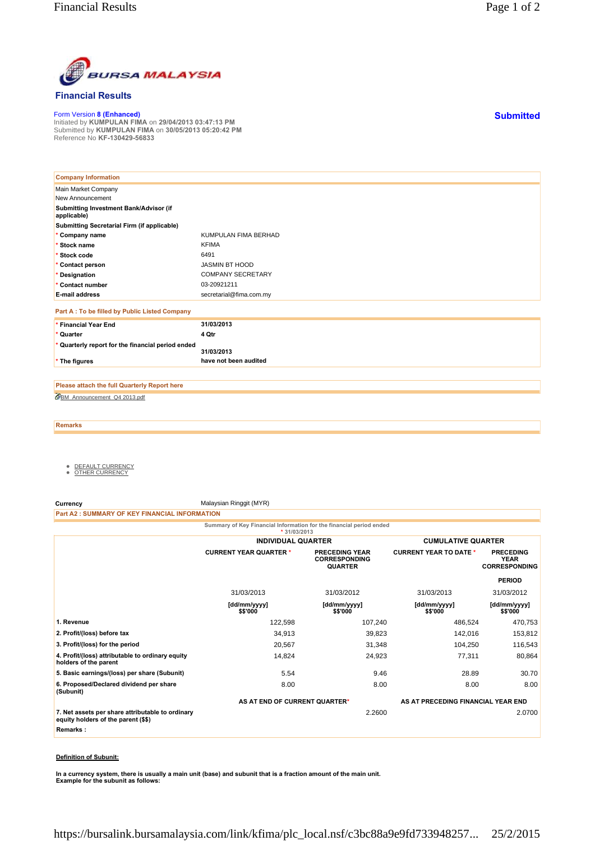

## **Financial Results**

Form Version **8 (Enhanced)** Initiated by **KUMPULAN FIMA** on **29/04/2013 03:47:13 PM** Submitted by **KUMPULAN FIMA** on **30/05/2013 05:20:42 PM** Reference No **KF-130429-56833**

| <b>Company Information</b>                            |                          |
|-------------------------------------------------------|--------------------------|
| Main Market Company                                   |                          |
| New Announcement                                      |                          |
| Submitting Investment Bank/Advisor (if<br>applicable) |                          |
| Submitting Secretarial Firm (if applicable)           |                          |
| * Company name                                        | KUMPULAN FIMA BERHAD     |
| * Stock name                                          | <b>KFIMA</b>             |
| * Stock code                                          | 6491                     |
| * Contact person                                      | JASMIN BT HOOD           |
| * Designation                                         | <b>COMPANY SECRETARY</b> |
| * Contact number                                      | 03-20921211              |
| <b>E-mail address</b>                                 | secretarial@fima.com.my  |
| Part A : To be filled by Public Listed Company        |                          |
| * Financial Year End                                  | 31/03/2013               |
| * Quarter                                             | 4 Qtr                    |
| * Quarterly report for the financial period ended     | 31/03/2013               |
| * The figures                                         | have not been audited    |

BM\_Announcement\_Q4 2013.pdf **Please attach the full Quarterly Report here**

**Remarks**

- <u>DEFAULT CURRENCY</u><br>● <u>OTHER CURRENCY</u>
- 

**Currency** Malaysian Ringgit (MYR)

**Part A2 : SUMMARY OF KEY FINANCIAL INFORMATION**

**Summary of Key Financial Information for the financial period ended**

|                                                                                         | $*31/03/2013$                 |                                                                 |                                    |                                                         |
|-----------------------------------------------------------------------------------------|-------------------------------|-----------------------------------------------------------------|------------------------------------|---------------------------------------------------------|
|                                                                                         | <b>INDIVIDUAL QUARTER</b>     |                                                                 | <b>CUMULATIVE QUARTER</b>          |                                                         |
|                                                                                         | <b>CURRENT YEAR QUARTER *</b> | <b>PRECEDING YEAR</b><br><b>CORRESPONDING</b><br><b>QUARTER</b> | <b>CURRENT YEAR TO DATE *</b>      | <b>PRECEDING</b><br><b>YEAR</b><br><b>CORRESPONDING</b> |
|                                                                                         |                               |                                                                 |                                    | <b>PERIOD</b>                                           |
|                                                                                         | 31/03/2013                    | 31/03/2012                                                      | 31/03/2013                         | 31/03/2012                                              |
|                                                                                         | [dd/mm/yyyy]<br>\$\$'000      | [dd/mm/yyyy]<br>\$\$'000                                        | [dd/mm/yyyy]<br>\$\$'000           | [dd/mm/yyyy]<br>\$\$'000                                |
| 1. Revenue                                                                              | 122,598                       | 107,240                                                         | 486,524                            | 470,753                                                 |
| 2. Profit/(loss) before tax                                                             | 34,913                        | 39,823                                                          | 142,016                            | 153,812                                                 |
| 3. Profit/(loss) for the period                                                         | 20,567                        | 31,348                                                          | 104,250                            | 116,543                                                 |
| 4. Profit/(loss) attributable to ordinary equity<br>holders of the parent               | 14,824                        | 24,923                                                          | 77,311                             | 80,864                                                  |
| 5. Basic earnings/(loss) per share (Subunit)                                            | 5.54                          | 9.46                                                            | 28.89                              | 30.70                                                   |
| 6. Proposed/Declared dividend per share<br>(Subunit)                                    | 8.00                          | 8.00                                                            | 8.00                               | 8.00                                                    |
|                                                                                         | AS AT END OF CURRENT QUARTER* |                                                                 | AS AT PRECEDING FINANCIAL YEAR END |                                                         |
| 7. Net assets per share attributable to ordinary<br>equity holders of the parent (\$\$) |                               | 2.2600                                                          |                                    | 2.0700                                                  |
| Remarks:                                                                                |                               |                                                                 |                                    |                                                         |
|                                                                                         |                               |                                                                 |                                    |                                                         |

## **Definition of Subunit:**

**In a currency system, there is usually a main unit (base) and subunit that is a fraction amount of the main unit. Example for the subunit as follows:**

**Submitted**